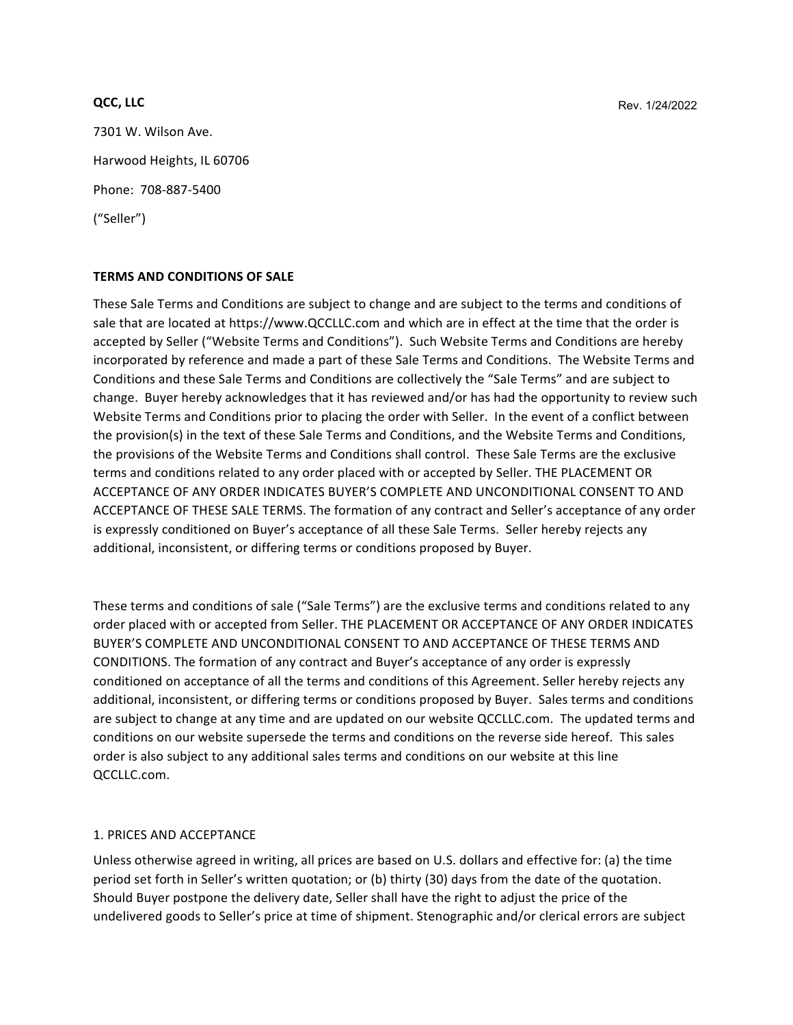#### **QCC, LLC**

7301 W. Wilson Ave. Harwood Heights, IL 60706 Phone: 708-887-5400 ("Seller") 

## **TERMS AND CONDITIONS OF SALE**

These Sale Terms and Conditions are subject to change and are subject to the terms and conditions of sale that are located at https://www.QCCLLC.com and which are in effect at the time that the order is accepted by Seller ("Website Terms and Conditions"). Such Website Terms and Conditions are hereby incorporated by reference and made a part of these Sale Terms and Conditions. The Website Terms and Conditions and these Sale Terms and Conditions are collectively the "Sale Terms" and are subject to change. Buyer hereby acknowledges that it has reviewed and/or has had the opportunity to review such Website Terms and Conditions prior to placing the order with Seller. In the event of a conflict between the provision(s) in the text of these Sale Terms and Conditions, and the Website Terms and Conditions, the provisions of the Website Terms and Conditions shall control. These Sale Terms are the exclusive terms and conditions related to any order placed with or accepted by Seller. THE PLACEMENT OR ACCEPTANCE OF ANY ORDER INDICATES BUYER'S COMPLETE AND UNCONDITIONAL CONSENT TO AND ACCEPTANCE OF THESE SALE TERMS. The formation of any contract and Seller's acceptance of any order is expressly conditioned on Buyer's acceptance of all these Sale Terms. Seller hereby rejects any additional, inconsistent, or differing terms or conditions proposed by Buyer. 

These terms and conditions of sale ("Sale Terms") are the exclusive terms and conditions related to any order placed with or accepted from Seller. THE PLACEMENT OR ACCEPTANCE OF ANY ORDER INDICATES BUYER'S COMPLETE AND UNCONDITIONAL CONSENT TO AND ACCEPTANCE OF THESE TERMS AND CONDITIONS. The formation of any contract and Buyer's acceptance of any order is expressly conditioned on acceptance of all the terms and conditions of this Agreement. Seller hereby rejects any additional, inconsistent, or differing terms or conditions proposed by Buyer. Sales terms and conditions are subject to change at any time and are updated on our website QCCLLC.com. The updated terms and conditions on our website supersede the terms and conditions on the reverse side hereof. This sales order is also subject to any additional sales terms and conditions on our website at this line QCCLLC.com. 

## 1. PRICES AND ACCEPTANCE

Unless otherwise agreed in writing, all prices are based on U.S. dollars and effective for: (a) the time period set forth in Seller's written quotation; or (b) thirty (30) days from the date of the quotation. Should Buyer postpone the delivery date, Seller shall have the right to adjust the price of the undelivered goods to Seller's price at time of shipment. Stenographic and/or clerical errors are subject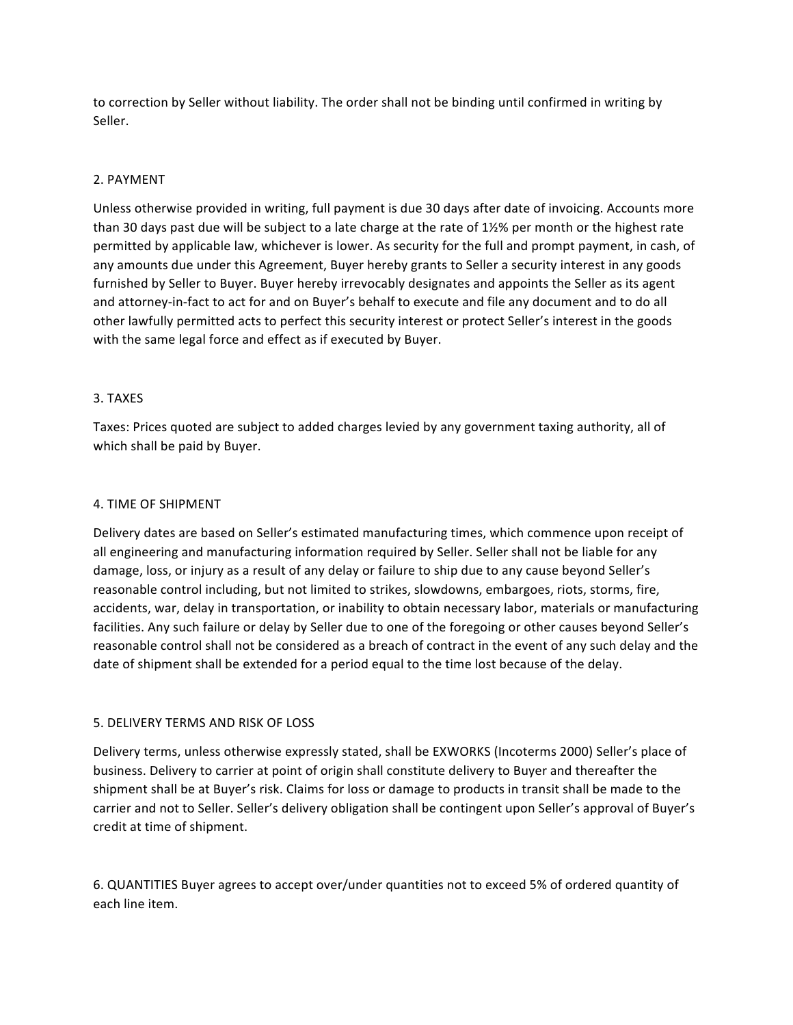to correction by Seller without liability. The order shall not be binding until confirmed in writing by Seller.

## 2. PAYMENT

Unless otherwise provided in writing, full payment is due 30 days after date of invoicing. Accounts more than 30 days past due will be subject to a late charge at the rate of  $1\frac{1}{2}\%$  per month or the highest rate permitted by applicable law, whichever is lower. As security for the full and prompt payment, in cash, of any amounts due under this Agreement, Buyer hereby grants to Seller a security interest in any goods furnished by Seller to Buyer. Buyer hereby irrevocably designates and appoints the Seller as its agent and attorney-in-fact to act for and on Buyer's behalf to execute and file any document and to do all other lawfully permitted acts to perfect this security interest or protect Seller's interest in the goods with the same legal force and effect as if executed by Buyer.

## 3. TAXES

Taxes: Prices quoted are subject to added charges levied by any government taxing authority, all of which shall be paid by Buyer.

## 4. TIME OF SHIPMENT

Delivery dates are based on Seller's estimated manufacturing times, which commence upon receipt of all engineering and manufacturing information required by Seller. Seller shall not be liable for any damage, loss, or injury as a result of any delay or failure to ship due to any cause beyond Seller's reasonable control including, but not limited to strikes, slowdowns, embargoes, riots, storms, fire, accidents, war, delay in transportation, or inability to obtain necessary labor, materials or manufacturing facilities. Any such failure or delay by Seller due to one of the foregoing or other causes beyond Seller's reasonable control shall not be considered as a breach of contract in the event of any such delay and the date of shipment shall be extended for a period equal to the time lost because of the delay.

## 5. DELIVERY TERMS AND RISK OF LOSS

Delivery terms, unless otherwise expressly stated, shall be EXWORKS (Incoterms 2000) Seller's place of business. Delivery to carrier at point of origin shall constitute delivery to Buyer and thereafter the shipment shall be at Buyer's risk. Claims for loss or damage to products in transit shall be made to the carrier and not to Seller. Seller's delivery obligation shall be contingent upon Seller's approval of Buyer's credit at time of shipment.

6. QUANTITIES Buyer agrees to accept over/under quantities not to exceed 5% of ordered quantity of each line item.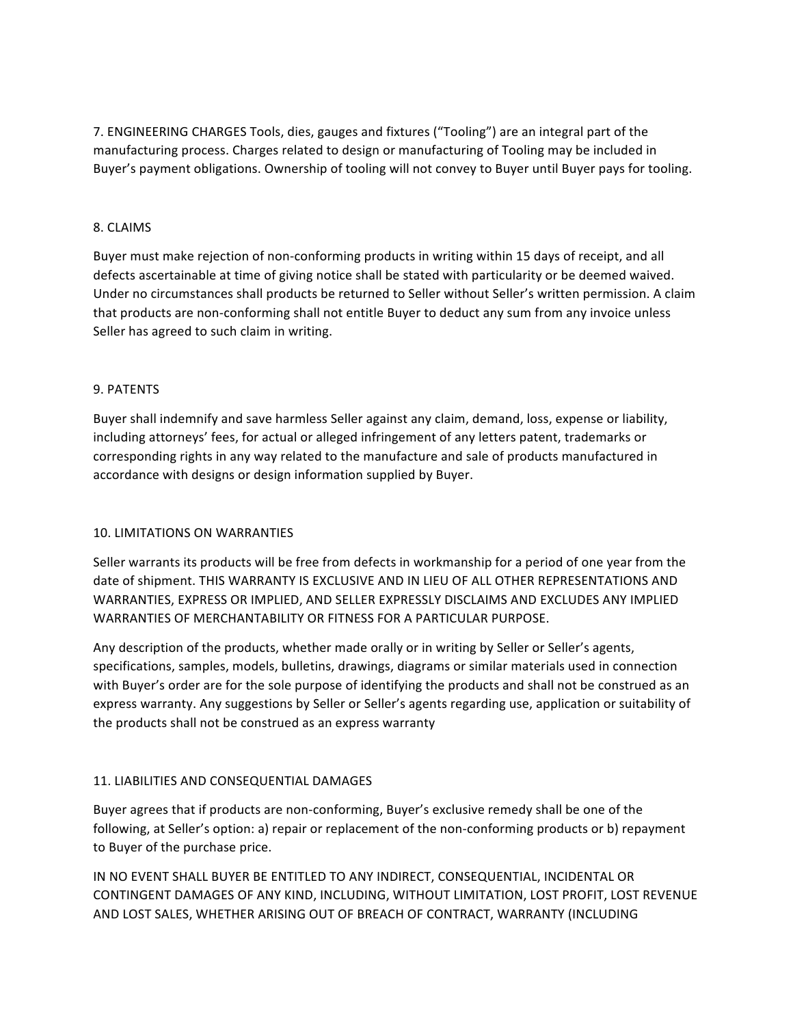7. ENGINEERING CHARGES Tools, dies, gauges and fixtures ("Tooling") are an integral part of the manufacturing process. Charges related to design or manufacturing of Tooling may be included in Buyer's payment obligations. Ownership of tooling will not convey to Buyer until Buyer pays for tooling.

# 8. CLAIMS

Buyer must make rejection of non-conforming products in writing within 15 days of receipt, and all defects ascertainable at time of giving notice shall be stated with particularity or be deemed waived. Under no circumstances shall products be returned to Seller without Seller's written permission. A claim that products are non-conforming shall not entitle Buyer to deduct any sum from any invoice unless Seller has agreed to such claim in writing.

## 9. PATENTS

Buyer shall indemnify and save harmless Seller against any claim, demand, loss, expense or liability, including attorneys' fees, for actual or alleged infringement of any letters patent, trademarks or corresponding rights in any way related to the manufacture and sale of products manufactured in accordance with designs or design information supplied by Buyer.

## 10. LIMITATIONS ON WARRANTIES

Seller warrants its products will be free from defects in workmanship for a period of one year from the date of shipment. THIS WARRANTY IS EXCLUSIVE AND IN LIEU OF ALL OTHER REPRESENTATIONS AND WARRANTIES, EXPRESS OR IMPLIED, AND SELLER EXPRESSLY DISCLAIMS AND EXCLUDES ANY IMPLIED WARRANTIES OF MERCHANTABILITY OR FITNESS FOR A PARTICULAR PURPOSE.

Any description of the products, whether made orally or in writing by Seller or Seller's agents, specifications, samples, models, bulletins, drawings, diagrams or similar materials used in connection with Buyer's order are for the sole purpose of identifying the products and shall not be construed as an express warranty. Any suggestions by Seller or Seller's agents regarding use, application or suitability of the products shall not be construed as an express warranty

## 11. LIABILITIES AND CONSEQUENTIAL DAMAGES

Buyer agrees that if products are non-conforming, Buyer's exclusive remedy shall be one of the following, at Seller's option: a) repair or replacement of the non-conforming products or b) repayment to Buyer of the purchase price.

IN NO EVENT SHALL BUYER BE ENTITLED TO ANY INDIRECT, CONSEQUENTIAL, INCIDENTAL OR CONTINGENT DAMAGES OF ANY KIND, INCLUDING, WITHOUT LIMITATION, LOST PROFIT, LOST REVENUE AND LOST SALES, WHETHER ARISING OUT OF BREACH OF CONTRACT, WARRANTY (INCLUDING